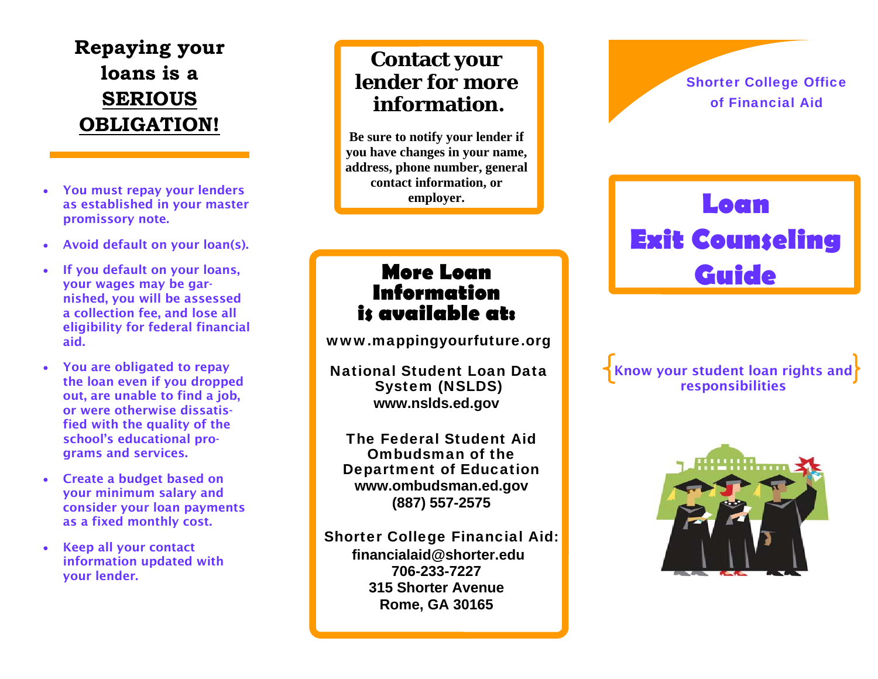# **Repaying your loans is a SERIOUS OBLIGATION!**

- You must repay your lenders as established in your master promissory note.
- Avoid default on your loan(s).
- If you default on your loans, your wages may be garnished, you will be assessed a collection fee, and lose all eligibility for federal financial aid.
- You are obligated to repay the loan even if you dropped out, are unable to find a job, or were otherwise dissatisfied with the quality of the school's educational programs and services.
- Create a budget based on your minimum salary and consider your loan payments as a fixed monthly cost.
- Keep all your contact information updated with your lender.

## **Contact your lender for more information.**

**Be sure to notify your lender if you have changes in your name, address, phone number, general contact information, or employer.** 

## **More Loan Information is available at:**

www.mappingyourfuture.org

National Student Loan Data System (NSLDS) **www.nslds.ed.gov** 

The Federal Student Aid Ombudsman of the Department of Education **www.ombudsman.ed.gov (887) 557-2575** 

Shorter College Financial Aid: **financialaid@shorter.edu 706-233-7227 315 Shorter Avenue Rome, GA 30165** 

### Shorter College Office of Financial Aid

# **Loan Exit Counseling Guide**

Know your student loan rights and responsibilities

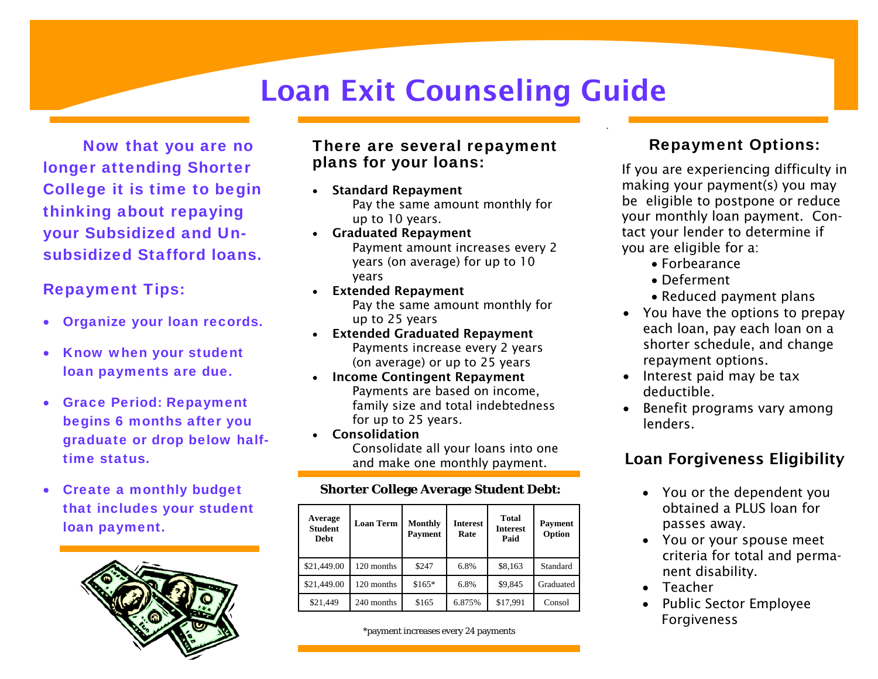# Loan Exit Counseling Guide

 Now that you are no longer attending Shorter College it is time to begin thinking about repaying your Subsidized and Unsubsidized Stafford loans.

#### Repayment Tips:

- Organize your loan records.
- Know when your student loan payments are due.
- Grace Period: Repayment begins 6 months after you graduate or drop below halftime status.
- Create a monthly budget that includes your student loan payment.



#### There are several repayment plans for your loans:

- Standard Repayment Pay the same amount monthly for up to 10 years.
- Graduated Repayment Payment amount increases every 2 years (on average) for up to 10 years
- Extended Repayment Pay the same amount monthly for up to 25 years
- Extended Graduated Repayment Payments increase every 2 years (on average) or up to 25 years
- Income Contingent Repayment Payments are based on income, family size and total indebtedness for up to 25 years.
- Consolidation Consolidate all your loans into one and make one monthly payment.

#### **Shorter College Average Student Debt:**

| Average<br><b>Student</b><br>Debt | <b>Loan Term</b> | <b>Monthly</b><br>Payment | <b>Interest</b><br>Rate | <b>Total</b><br><b>Interest</b><br>Paid | <b>Payment</b><br>Option |
|-----------------------------------|------------------|---------------------------|-------------------------|-----------------------------------------|--------------------------|
| \$21,449.00                       | 120 months       | \$247                     | 6.8%                    | \$8,163                                 | Standard                 |
| \$21,449.00                       | 120 months       | $$165*$                   | 6.8%                    | \$9,845                                 | Graduated                |
| \$21.449                          | 240 months       | \$165                     | 6.875%                  | \$17,991                                | Consol                   |

\*payment increases every 24 payments

### Repayment Options:

If you are experiencing difficulty in making your payment(s) you may be eligible to postpone or reduce your monthly loan payment. Contact your lender to determine if you are eligible for a:

- Forbearance
- Deferment
- Reduced payment plans
- You have the options to prepay each loan, pay each loan on a shorter schedule, and change repayment options.
- Interest paid may be tax deductible.
- Benefit programs vary among lenders.

## Loan Forgiveness Eligibility

- You or the dependent you obtained a PLUS loan for passes away.
- You or your spouse meet criteria for total and permanent disability.
- Teacher
- Public Sector Employee Forgiveness